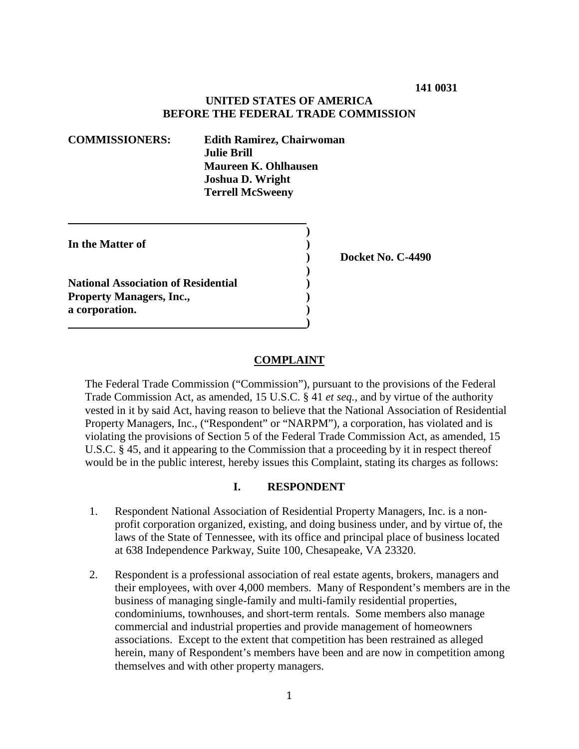### **UNITED STATES OF AMERICA BEFORE THE FEDERAL TRADE COMMISSION**

**)**

**)**

| <b>COMMISSIONERS:</b> | <b>Edith Ramirez, Chairwoman</b> |
|-----------------------|----------------------------------|
|                       | <b>Julie Brill</b>               |
|                       | Maureen K. Ohlhausen             |
|                       | <b>Joshua D. Wright</b>          |
|                       | <b>Terrell McSweeny</b>          |
|                       |                                  |

| In the Matter of                           |  |
|--------------------------------------------|--|
|                                            |  |
| <b>National Association of Residential</b> |  |
| <b>Property Managers, Inc.,</b>            |  |

**a corporation. )**

**) Docket No. C-4490**

### **COMPLAINT**

 **)**

The Federal Trade Commission ("Commission"), pursuant to the provisions of the Federal Trade Commission Act, as amended, 15 U.S.C. § 41 *et seq.*, and by virtue of the authority vested in it by said Act, having reason to believe that the National Association of Residential Property Managers, Inc., ("Respondent" or "NARPM"), a corporation, has violated and is violating the provisions of Section 5 of the Federal Trade Commission Act, as amended, 15 U.S.C. § 45, and it appearing to the Commission that a proceeding by it in respect thereof would be in the public interest, hereby issues this Complaint, stating its charges as follows:

### **I. RESPONDENT**

- 1. Respondent National Association of Residential Property Managers, Inc. is a nonprofit corporation organized, existing, and doing business under, and by virtue of, the laws of the State of Tennessee, with its office and principal place of business located at 638 Independence Parkway, Suite 100, Chesapeake, VA 23320.
- 2. Respondent is a professional association of real estate agents, brokers, managers and their employees, with over 4,000 members. Many of Respondent's members are in the business of managing single-family and multi-family residential properties, condominiums, townhouses, and short-term rentals. Some members also manage commercial and industrial properties and provide management of homeowners associations. Except to the extent that competition has been restrained as alleged herein, many of Respondent's members have been and are now in competition among themselves and with other property managers.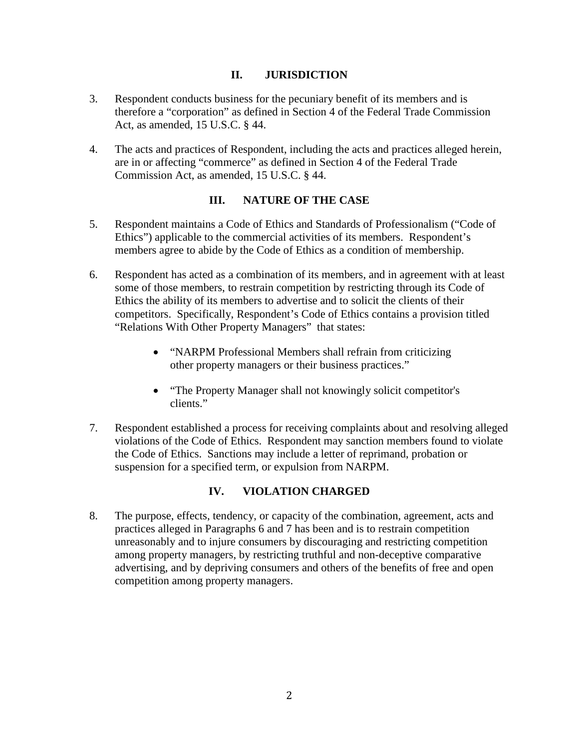## **II. JURISDICTION**

- 3. Respondent conducts business for the pecuniary benefit of its members and is therefore a "corporation" as defined in Section 4 of the Federal Trade Commission Act, as amended, 15 U.S.C. § 44.
- 4. The acts and practices of Respondent, including the acts and practices alleged herein, are in or affecting "commerce" as defined in Section 4 of the Federal Trade Commission Act, as amended, 15 U.S.C. § 44.

## **III. NATURE OF THE CASE**

- 5. Respondent maintains a Code of Ethics and Standards of Professionalism ("Code of Ethics") applicable to the commercial activities of its members. Respondent's members agree to abide by the Code of Ethics as a condition of membership.
- 6. Respondent has acted as a combination of its members, and in agreement with at least some of those members, to restrain competition by restricting through its Code of Ethics the ability of its members to advertise and to solicit the clients of their competitors. Specifically, Respondent's Code of Ethics contains a provision titled "Relations With Other Property Managers" that states:
	- "NARPM Professional Members shall refrain from criticizing other property managers or their business practices."
	- "The Property Manager shall not knowingly solicit competitor's clients."
- 7. Respondent established a process for receiving complaints about and resolving alleged violations of the Code of Ethics. Respondent may sanction members found to violate the Code of Ethics. Sanctions may include a letter of reprimand, probation or suspension for a specified term, or expulsion from NARPM.

# **IV. VIOLATION CHARGED**

8. The purpose, effects, tendency, or capacity of the combination, agreement, acts and practices alleged in Paragraphs 6 and 7 has been and is to restrain competition unreasonably and to injure consumers by discouraging and restricting competition among property managers, by restricting truthful and non-deceptive comparative advertising, and by depriving consumers and others of the benefits of free and open competition among property managers.